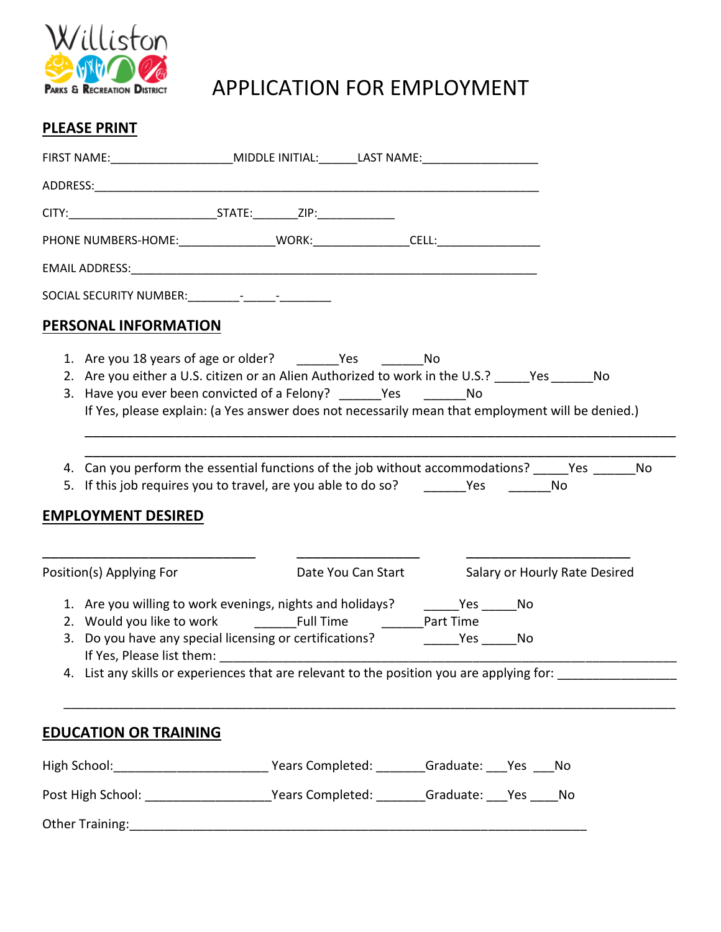

## APPLICATION FOR EMPLOYMENT

## **PLEASE PRINT**

| FIRST NAME:__________________________MIDDLE INITIAL:_______LAST NAME:_____________              |                                                                                                                                                                                                                                                                       |                                                  |  |  |
|-------------------------------------------------------------------------------------------------|-----------------------------------------------------------------------------------------------------------------------------------------------------------------------------------------------------------------------------------------------------------------------|--------------------------------------------------|--|--|
|                                                                                                 |                                                                                                                                                                                                                                                                       |                                                  |  |  |
|                                                                                                 |                                                                                                                                                                                                                                                                       |                                                  |  |  |
| PHONE NUMBERS-HOME:__________________WORK:___________________CELL:______________                |                                                                                                                                                                                                                                                                       |                                                  |  |  |
|                                                                                                 |                                                                                                                                                                                                                                                                       |                                                  |  |  |
|                                                                                                 |                                                                                                                                                                                                                                                                       |                                                  |  |  |
| <b>PERSONAL INFORMATION</b>                                                                     |                                                                                                                                                                                                                                                                       |                                                  |  |  |
|                                                                                                 | 2. Are you either a U.S. citizen or an Alien Authorized to work in the U.S.? Ves ______ No<br>3. Have you ever been convicted of a Felony? ______Yes __________No<br>If Yes, please explain: (a Yes answer does not necessarily mean that employment will be denied.) |                                                  |  |  |
| <b>EMPLOYMENT DESIRED</b>                                                                       | 4. Can you perform the essential functions of the job without accommodations? _____Yes _______ No<br>5. If this job requires you to travel, are you able to do so? Yes Yes No                                                                                         |                                                  |  |  |
| Position(s) Applying For                                                                        |                                                                                                                                                                                                                                                                       | Date You Can Start Salary or Hourly Rate Desired |  |  |
|                                                                                                 | 1. Are you willing to work evenings, nights and holidays? ________Yes _______No                                                                                                                                                                                       |                                                  |  |  |
|                                                                                                 | 4. List any skills or experiences that are relevant to the position you are applying for: _______________                                                                                                                                                             |                                                  |  |  |
| <b>EDUCATION OR TRAINING</b>                                                                    |                                                                                                                                                                                                                                                                       |                                                  |  |  |
| High School: _________________________________Years Completed: ________Graduate: ____Yes ____No |                                                                                                                                                                                                                                                                       |                                                  |  |  |
| Post High School: ________________________Years Completed: ________Graduate: ___Yes ____No      |                                                                                                                                                                                                                                                                       |                                                  |  |  |
|                                                                                                 |                                                                                                                                                                                                                                                                       |                                                  |  |  |
|                                                                                                 |                                                                                                                                                                                                                                                                       |                                                  |  |  |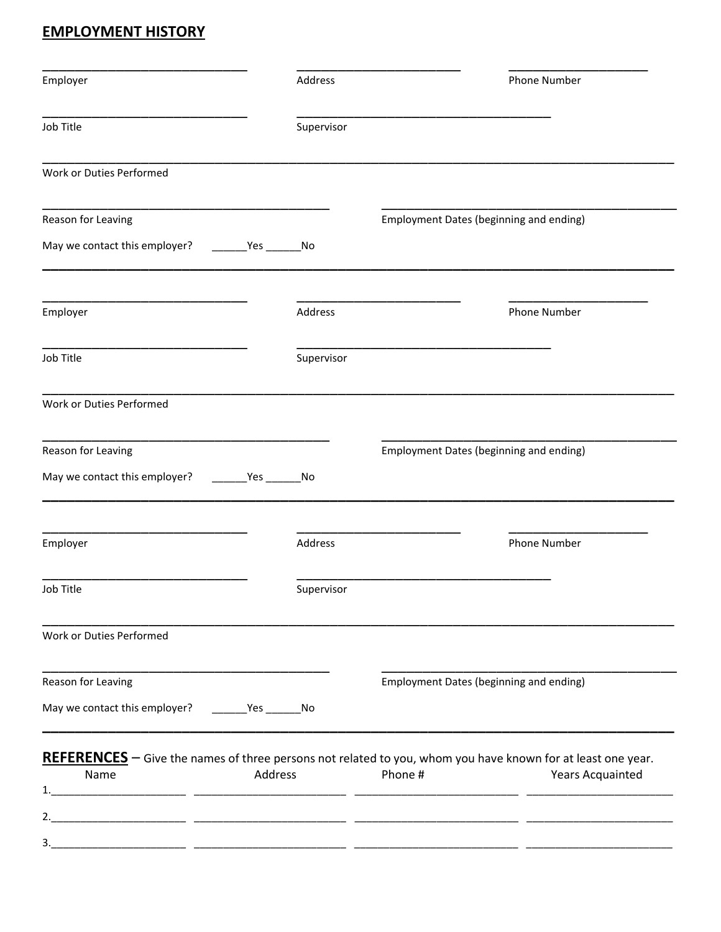## **EMPLOYMENT HISTORY**

| Employer                                                                                                          |         | Address    | <b>Phone Number</b>                                                                                                |
|-------------------------------------------------------------------------------------------------------------------|---------|------------|--------------------------------------------------------------------------------------------------------------------|
| Job Title                                                                                                         |         | Supervisor |                                                                                                                    |
| Work or Duties Performed                                                                                          |         |            |                                                                                                                    |
| Reason for Leaving                                                                                                |         |            | Employment Dates (beginning and ending)                                                                            |
| May we contact this employer? ________Yes _________No                                                             |         |            |                                                                                                                    |
| Employer                                                                                                          |         | Address    | Phone Number                                                                                                       |
| Job Title                                                                                                         |         | Supervisor |                                                                                                                    |
| Work or Duties Performed                                                                                          |         |            |                                                                                                                    |
| Reason for Leaving                                                                                                |         |            | Employment Dates (beginning and ending)                                                                            |
| May we contact this employer? _________Yes __________No                                                           |         |            |                                                                                                                    |
| Employer                                                                                                          |         | Address    | <b>Phone Number</b>                                                                                                |
| Job Title                                                                                                         |         | Supervisor |                                                                                                                    |
|                                                                                                                   |         |            |                                                                                                                    |
|                                                                                                                   |         |            |                                                                                                                    |
|                                                                                                                   |         |            | Employment Dates (beginning and ending)                                                                            |
|                                                                                                                   |         |            |                                                                                                                    |
|                                                                                                                   |         |            | <b>REFERENCES</b> – Give the names of three persons not related to you, whom you have known for at least one year. |
| Work or Duties Performed<br>Reason for Leaving<br>May we contact this employer? _________Yes _________ No<br>Name | Address |            | Phone #<br><b>Years Acquainted</b>                                                                                 |
|                                                                                                                   |         |            |                                                                                                                    |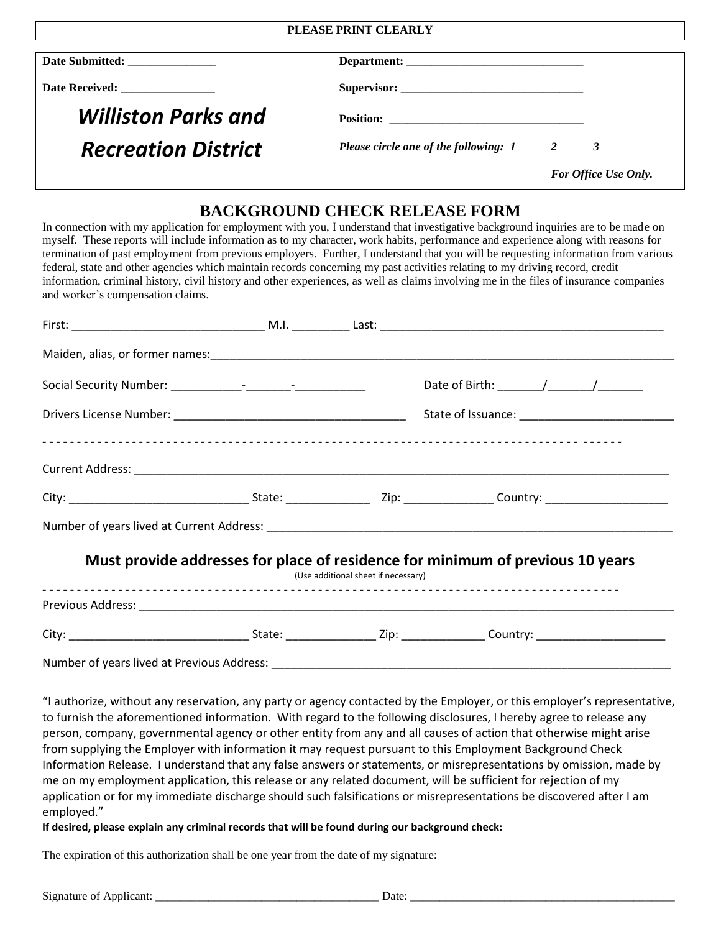#### **PLEASE PRINT CLEARLY**

| Date Submitted: ________________ |                                       |                          |  |
|----------------------------------|---------------------------------------|--------------------------|--|
| Date Received: _______________   |                                       |                          |  |
| <b>Williston Parks and</b>       |                                       |                          |  |
| <b>Recreation District</b>       | Please circle one of the following: 1 | $\overline{\phantom{a}}$ |  |
|                                  |                                       | For Office Use Only.     |  |

### **BACKGROUND CHECK RELEASE FORM**

In connection with my application for employment with you, I understand that investigative background inquiries are to be made on myself. These reports will include information as to my character, work habits, performance and experience along with reasons for termination of past employment from previous employers. Further, I understand that you will be requesting information from various federal, state and other agencies which maintain records concerning my past activities relating to my driving record, credit information, criminal history, civil history and other experiences, as well as claims involving me in the files of insurance companies and worker's compensation claims.

|                                            |  | (Use additional sheet if necessary) | Must provide addresses for place of residence for minimum of previous 10 years |  |
|--------------------------------------------|--|-------------------------------------|--------------------------------------------------------------------------------|--|
|                                            |  |                                     |                                                                                |  |
|                                            |  |                                     |                                                                                |  |
| Number of years lived at Previous Address: |  |                                     |                                                                                |  |

"I authorize, without any reservation, any party or agency contacted by the Employer, or this employer's representative, to furnish the aforementioned information. With regard to the following disclosures, I hereby agree to release any person, company, governmental agency or other entity from any and all causes of action that otherwise might arise from supplying the Employer with information it may request pursuant to this Employment Background Check Information Release. I understand that any false answers or statements, or misrepresentations by omission, made by me on my employment application, this release or any related document, will be sufficient for rejection of my application or for my immediate discharge should such falsifications or misrepresentations be discovered after I am employed."

#### **If desired, please explain any criminal records that will be found during our background check:**

The expiration of this authorization shall be one year from the date of my signature:

Signature of Applicant: \_\_\_\_\_\_\_\_\_\_\_\_\_\_\_\_\_\_\_\_\_\_\_\_\_\_\_\_\_\_\_\_\_\_\_\_\_\_ Date: \_\_\_\_\_\_\_\_\_\_\_\_\_\_\_\_\_\_\_\_\_\_\_\_\_\_\_\_\_\_\_\_\_\_\_\_\_\_\_\_\_\_\_\_\_